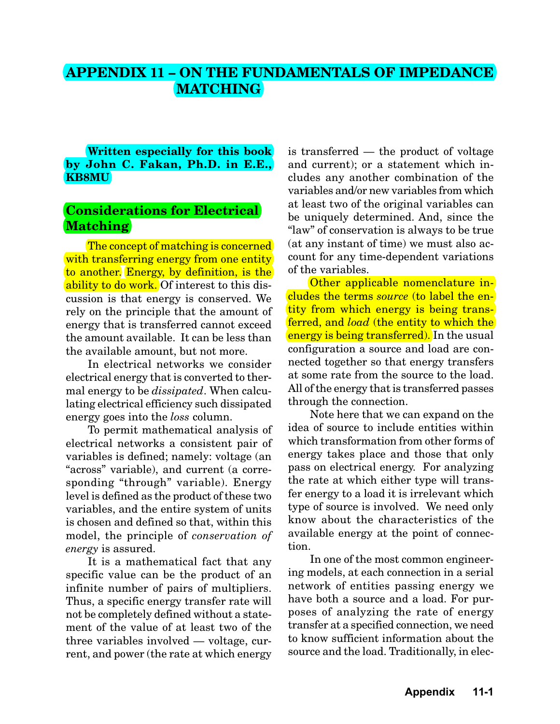## **APPENDIX 11 – ON THE FUNDAMENTALS OF IMPEDANCE MATCHING**

**Written especially for this book by John C. Fakan, Ph.D. in E.E., KB8MU**

## **Considerations for Electrical Matching**

The concept of matching is concerned with transferring energy from one entity to another. Energy, by definition, is the ability to do work. Of interest to this discussion is that energy is conserved. We rely on the principle that the amount of energy that is transferred cannot exceed the amount available. It can be less than the available amount, but not more.

In electrical networks we consider electrical energy that is converted to thermal energy to be *dissipated*. When calculating electrical efficiency such dissipated energy goes into the *loss* column.

To permit mathematical analysis of electrical networks a consistent pair of variables is defined; namely: voltage (an "across" variable), and current (a corresponding "through" variable). Energy level is defined as the product of these two variables, and the entire system of units is chosen and defined so that, within this model, the principle of *conservation of energy* is assured.

It is a mathematical fact that any specific value can be the product of an infinite number of pairs of multipliers. Thus, a specific energy transfer rate will not be completely defined without a statement of the value of at least two of the three variables involved — voltage, current, and power (the rate at which energy is transferred — the product of voltage and current); or a statement which includes any another combination of the variables and/or new variables from which at least two of the original variables can be uniquely determined. And, since the "law" of conservation is always to be true (at any instant of time) we must also account for any time-dependent variations of the variables.

Other applicable nomenclature includes the terms *source* (to label the entity from which energy is being transferred, and *load* (the entity to which the energy is being transferred). In the usual configuration a source and load are connected together so that energy transfers at some rate from the source to the load. All of the energy that is transferred passes through the connection.

Note here that we can expand on the idea of source to include entities within which transformation from other forms of energy takes place and those that only pass on electrical energy. For analyzing the rate at which either type will transfer energy to a load it is irrelevant which type of source is involved. We need only know about the characteristics of the available energy at the point of connection.

In one of the most common engineering models, at each connection in a serial network of entities passing energy we have both a source and a load. For purposes of analyzing the rate of energy transfer at a specified connection, we need to know sufficient information about the source and the load. Traditionally, in elec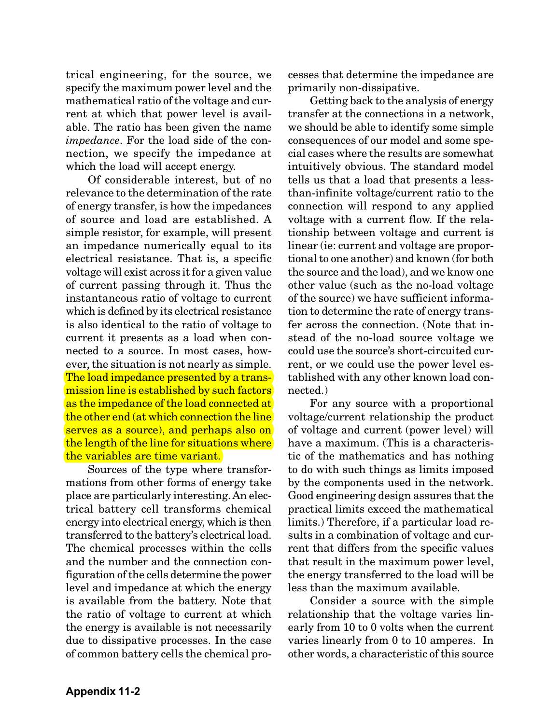trical engineering, for the source, we specify the maximum power level and the mathematical ratio of the voltage and current at which that power level is available. The ratio has been given the name *impedance*. For the load side of the connection, we specify the impedance at which the load will accept energy.

Of considerable interest, but of no relevance to the determination of the rate of energy transfer, is how the impedances of source and load are established. A simple resistor, for example, will present an impedance numerically equal to its electrical resistance. That is, a specific voltage will exist across it for a given value of current passing through it. Thus the instantaneous ratio of voltage to current which is defined by its electrical resistance is also identical to the ratio of voltage to current it presents as a load when connected to a source. In most cases, however, the situation is not nearly as simple. The load impedance presented by a transmission line is established by such factors as the impedance of the load connected at the other end (at which connection the line serves as a source), and perhaps also on the length of the line for situations where the variables are time variant.

Sources of the type where transformations from other forms of energy take place are particularly interesting. An electrical battery cell transforms chemical energy into electrical energy, which is then transferred to the battery's electrical load. The chemical processes within the cells and the number and the connection configuration of the cells determine the power level and impedance at which the energy is available from the battery. Note that the ratio of voltage to current at which the energy is available is not necessarily due to dissipative processes. In the case of common battery cells the chemical processes that determine the impedance are primarily non-dissipative.

Getting back to the analysis of energy transfer at the connections in a network, we should be able to identify some simple consequences of our model and some special cases where the results are somewhat intuitively obvious. The standard model tells us that a load that presents a lessthan-infinite voltage/current ratio to the connection will respond to any applied voltage with a current flow. If the relationship between voltage and current is linear (ie: current and voltage are proportional to one another) and known (for both the source and the load), and we know one other value (such as the no-load voltage of the source) we have sufficient information to determine the rate of energy transfer across the connection. (Note that instead of the no-load source voltage we could use the source's short-circuited current, or we could use the power level established with any other known load connected.)

For any source with a proportional voltage/current relationship the product of voltage and current (power level) will have a maximum. (This is a characteristic of the mathematics and has nothing to do with such things as limits imposed by the components used in the network. Good engineering design assures that the practical limits exceed the mathematical limits.) Therefore, if a particular load results in a combination of voltage and current that differs from the specific values that result in the maximum power level, the energy transferred to the load will be less than the maximum available.

Consider a source with the simple relationship that the voltage varies linearly from 10 to 0 volts when the current varies linearly from 0 to 10 amperes. In other words, a characteristic of this source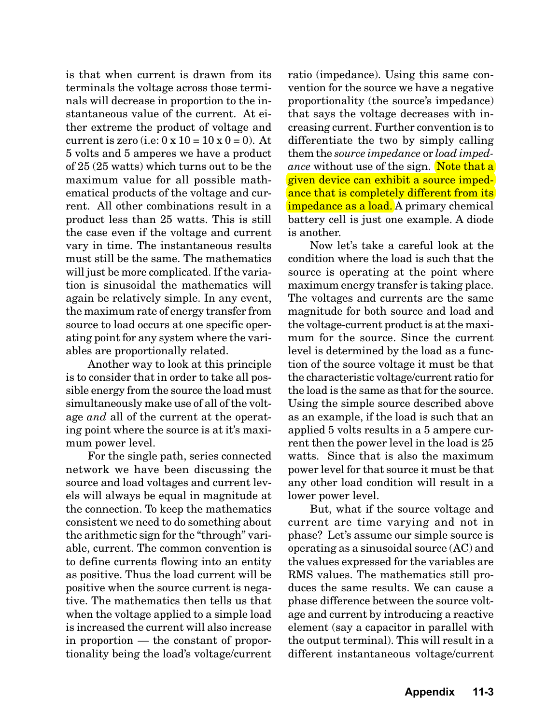is that when current is drawn from its terminals the voltage across those terminals will decrease in proportion to the instantaneous value of the current. At either extreme the product of voltage and current is zero (i.e:  $0 \times 10 = 10 \times 0 = 0$ ). At 5 volts and 5 amperes we have a product of 25 (25 watts) which turns out to be the maximum value for all possible mathematical products of the voltage and current. All other combinations result in a product less than 25 watts. This is still the case even if the voltage and current vary in time. The instantaneous results must still be the same. The mathematics will just be more complicated. If the variation is sinusoidal the mathematics will again be relatively simple. In any event, the maximum rate of energy transfer from source to load occurs at one specific operating point for any system where the variables are proportionally related.

Another way to look at this principle is to consider that in order to take all possible energy from the source the load must simultaneously make use of all of the voltage *and* all of the current at the operating point where the source is at it's maximum power level.

For the single path, series connected network we have been discussing the source and load voltages and current levels will always be equal in magnitude at the connection. To keep the mathematics consistent we need to do something about the arithmetic sign for the "through" variable, current. The common convention is to define currents flowing into an entity as positive. Thus the load current will be positive when the source current is negative. The mathematics then tells us that when the voltage applied to a simple load is increased the current will also increase in proportion — the constant of proportionality being the load's voltage/current ratio (impedance). Using this same convention for the source we have a negative proportionality (the source's impedance) that says the voltage decreases with increasing current. Further convention is to differentiate the two by simply calling them the *source impedance* or *load impedance* without use of the sign. **Note that a** given device can exhibit a source impedance that is completely different from its impedance as a load. A primary chemical battery cell is just one example. A diode is another.

Now let's take a careful look at the condition where the load is such that the source is operating at the point where maximum energy transfer is taking place. The voltages and currents are the same magnitude for both source and load and the voltage-current product is at the maximum for the source. Since the current level is determined by the load as a function of the source voltage it must be that the characteristic voltage/current ratio for the load is the same as that for the source. Using the simple source described above as an example, if the load is such that an applied 5 volts results in a 5 ampere current then the power level in the load is 25 watts. Since that is also the maximum power level for that source it must be that any other load condition will result in a lower power level.

But, what if the source voltage and current are time varying and not in phase? Let's assume our simple source is operating as a sinusoidal source (AC) and the values expressed for the variables are RMS values. The mathematics still produces the same results. We can cause a phase difference between the source voltage and current by introducing a reactive element (say a capacitor in parallel with the output terminal). This will result in a different instantaneous voltage/current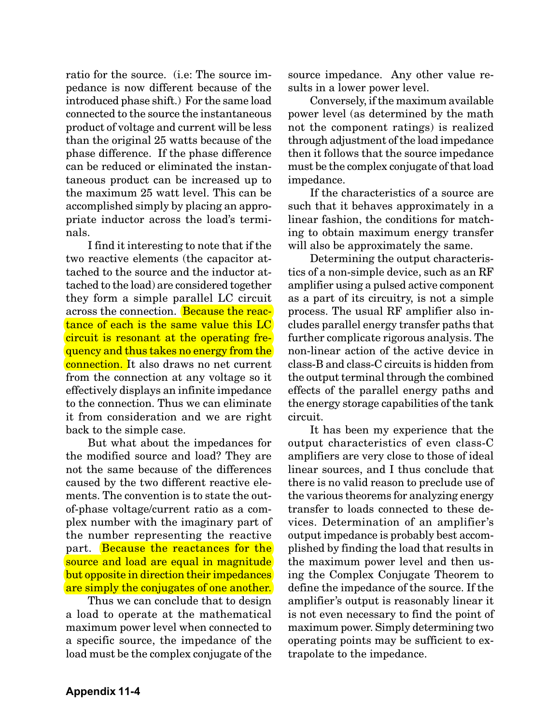ratio for the source. (i.e: The source impedance is now different because of the introduced phase shift.) For the same load connected to the source the instantaneous product of voltage and current will be less than the original 25 watts because of the phase difference. If the phase difference can be reduced or eliminated the instantaneous product can be increased up to the maximum 25 watt level. This can be accomplished simply by placing an appropriate inductor across the load's terminals.

I find it interesting to note that if the two reactive elements (the capacitor attached to the source and the inductor attached to the load) are considered together they form a simple parallel LC circuit across the connection. Because the reactance of each is the same value this LC circuit is resonant at the operating frequency and thus takes no energy from the connection. It also draws no net current from the connection at any voltage so it effectively displays an infinite impedance to the connection. Thus we can eliminate it from consideration and we are right back to the simple case.

But what about the impedances for the modified source and load? They are not the same because of the differences caused by the two different reactive elements. The convention is to state the outof-phase voltage/current ratio as a complex number with the imaginary part of the number representing the reactive part. Because the reactances for the source and load are equal in magnitude but opposite in direction their impedances are simply the conjugates of one another.

Thus we can conclude that to design a load to operate at the mathematical maximum power level when connected to a specific source, the impedance of the load must be the complex conjugate of the source impedance. Any other value results in a lower power level.

Conversely, if the maximum available power level (as determined by the math not the component ratings) is realized through adjustment of the load impedance then it follows that the source impedance must be the complex conjugate of that load impedance.

If the characteristics of a source are such that it behaves approximately in a linear fashion, the conditions for matching to obtain maximum energy transfer will also be approximately the same.

Determining the output characteristics of a non-simple device, such as an RF amplifier using a pulsed active component as a part of its circuitry, is not a simple process. The usual RF amplifier also includes parallel energy transfer paths that further complicate rigorous analysis. The non-linear action of the active device in class-B and class-C circuits is hidden from the output terminal through the combined effects of the parallel energy paths and the energy storage capabilities of the tank circuit.

It has been my experience that the output characteristics of even class-C amplifiers are very close to those of ideal linear sources, and I thus conclude that there is no valid reason to preclude use of the various theorems for analyzing energy transfer to loads connected to these devices. Determination of an amplifier's output impedance is probably best accomplished by finding the load that results in the maximum power level and then using the Complex Conjugate Theorem to define the impedance of the source. If the amplifier's output is reasonably linear it is not even necessary to find the point of maximum power. Simply determining two operating points may be sufficient to extrapolate to the impedance.